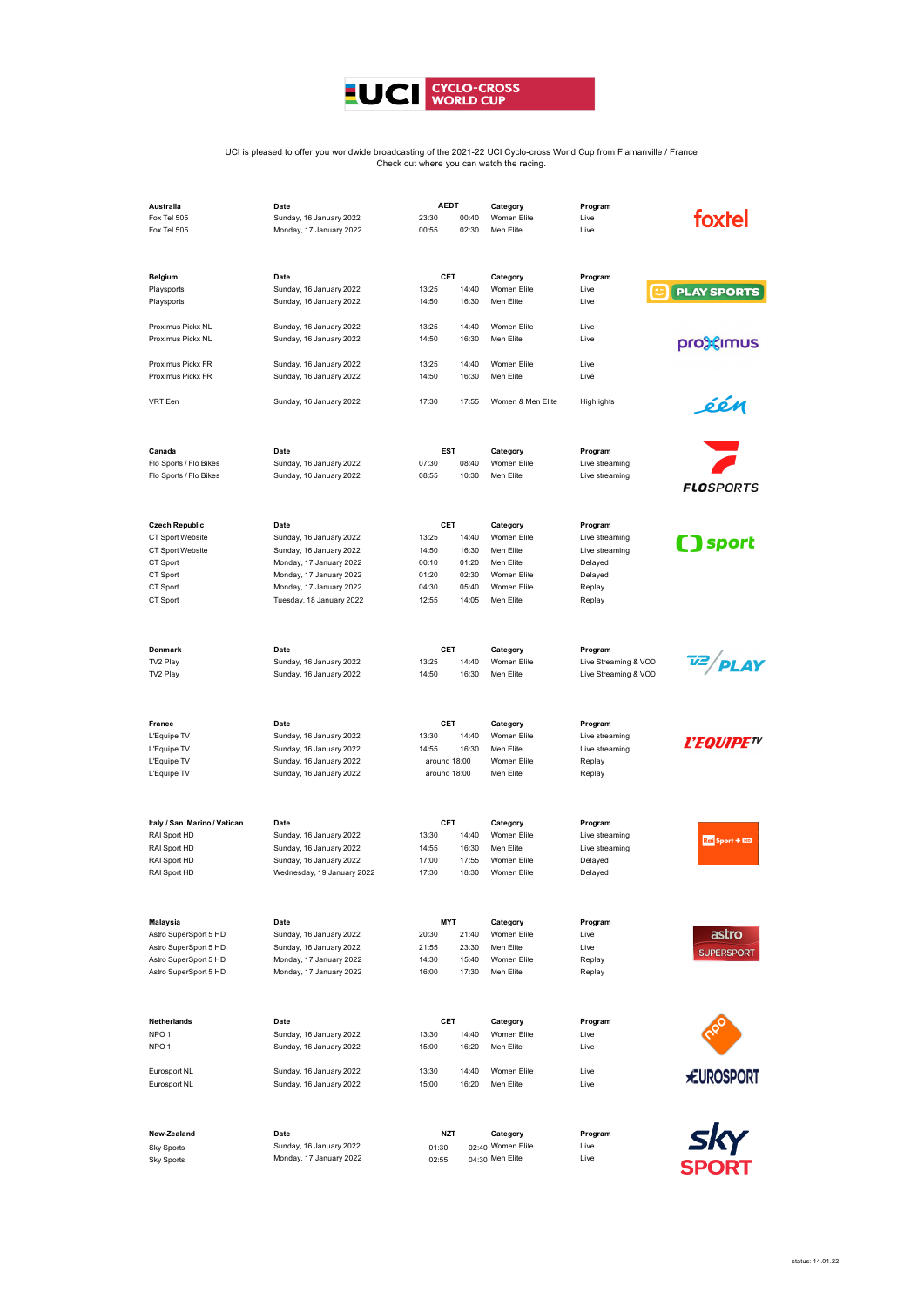

## UCI is pleased to offer you worldwide broadcasting of the 2021-22 UCI Cyclo-cross World Cup from Flamanville / France Check out where you can watch the racing.

| Australia                    | Date                       | <b>AEDT</b>  |       | Category          | Program              |                     |
|------------------------------|----------------------------|--------------|-------|-------------------|----------------------|---------------------|
| Fox Tel 505                  | Sunday, 16 January 2022    | 23:30        | 00:40 | Women Elite       | Live                 | foxtel              |
| Fox Tel 505                  | Monday, 17 January 2022    | 00:55        | 02:30 | Men Elite         | Live                 |                     |
|                              |                            |              |       |                   |                      |                     |
|                              |                            |              |       |                   |                      |                     |
| Belgium                      | Date                       | CET          |       | Category          | Program              |                     |
| Playsports                   | Sunday, 16 January 2022    | 13:25        | 14:40 | Women Elite       | Live                 | <b>PLAY SPORTS</b>  |
| Playsports                   | Sunday, 16 January 2022    | 14:50        | 16:30 | Men Elite         | Live                 |                     |
|                              |                            |              |       |                   |                      |                     |
| Proximus Pickx NL            | Sunday, 16 January 2022    | 13:25        | 14:40 | Women Elite       | Live                 |                     |
| Proximus Pickx NL            | Sunday, 16 January 2022    | 14:50        | 16:30 | Men Elite         | Live                 |                     |
|                              |                            |              |       |                   |                      | pro>simus           |
| Proximus Pickx FR            | Sunday, 16 January 2022    | 13:25        | 14:40 | Women Elite       | Live                 |                     |
| Proximus Pickx FR            | Sunday, 16 January 2022    | 14:50        | 16:30 | Men Elite         | Live                 |                     |
|                              |                            |              |       |                   |                      |                     |
| VRT Een                      | Sunday, 16 January 2022    | 17:30        | 17:55 | Women & Men Elite | Highlights           | één                 |
|                              |                            |              |       |                   |                      |                     |
|                              |                            |              |       |                   |                      |                     |
|                              |                            |              |       |                   |                      |                     |
| Canada                       | Date                       | EST          |       | Category          | Program              |                     |
| Flo Sports / Flo Bikes       | Sunday, 16 January 2022    | 07:30        | 08:40 | Women Elite       | Live streaming       |                     |
| Flo Sports / Flo Bikes       | Sunday, 16 January 2022    | 08:55        | 10:30 | Men Elite         | Live streaming       |                     |
|                              |                            |              |       |                   |                      | <b>FLOSPORTS</b>    |
|                              |                            |              |       |                   |                      |                     |
|                              |                            |              |       |                   |                      |                     |
| <b>Czech Republic</b>        | Date                       | CET          |       | Category          | Program              |                     |
| CT Sport Website             | Sunday, 16 January 2022    | 13:25        | 14:40 | Women Elite       | Live streaming       | sport               |
| CT Sport Website             | Sunday, 16 January 2022    | 14:50        | 16:30 | Men Elite         | Live streaming       |                     |
| CT Sport                     | Monday, 17 January 2022    | 00:10        | 01:20 | Men Elite         | Delayed              |                     |
| CT Sport                     | Monday, 17 January 2022    | 01:20        | 02:30 | Women Elite       | Delayed              |                     |
| CT Sport                     | Monday, 17 January 2022    | 04:30        | 05:40 | Women Elite       | Replay               |                     |
| CT Sport                     | Tuesday, 18 January 2022   | 12:55        | 14:05 | Men Elite         | Replay               |                     |
|                              |                            |              |       |                   |                      |                     |
|                              |                            |              |       |                   |                      |                     |
|                              |                            |              |       |                   |                      |                     |
| Denmark                      | Date                       | CET          |       | Category          | Program              |                     |
| TV2 Play                     | Sunday, 16 January 2022    | 13:25        | 14:40 | Women Elite       | Live Streaming & VOD | $\frac{72}{P}$ PLAY |
| TV2 Play                     | Sunday, 16 January 2022    | 14:50        | 16:30 | Men Elite         | Live Streaming & VOD |                     |
|                              |                            |              |       |                   |                      |                     |
|                              |                            |              |       |                   |                      |                     |
|                              |                            |              |       |                   |                      |                     |
| France                       | Date                       | CET          |       | Category          | Program              |                     |
| L'Equipe TV                  | Sunday, 16 January 2022    | 13:30        | 14:40 | Women Elite       | Live streaming       | <i>L'EQUIPE™</i>    |
| L'Equipe TV                  | Sunday, 16 January 2022    | 14:55        | 16:30 | Men Elite         | Live streaming       |                     |
| L'Equipe TV                  | Sunday, 16 January 2022    | around 18:00 |       | Women Elite       | Replay               |                     |
| L'Equipe TV                  | Sunday, 16 January 2022    | around 18:00 |       | Men Elite         | Replay               |                     |
|                              |                            |              |       |                   |                      |                     |
|                              |                            |              |       |                   |                      |                     |
| Italy / San Marino / Vatican | Date                       | CET          |       | Category          | Program              |                     |
| RAI Sport HD                 | Sunday, 16 January 2022    | 13:30        | 14:40 | Women Elite       | Live streaming       |                     |
| RAI Sport HD                 | Sunday, 16 January 2022    |              | 16:30 | Men Elite         | Live streaming       | Rai Sport + BD      |
|                              |                            | 14:55        |       |                   |                      |                     |
| RAI Sport HD                 | Sunday, 16 January 2022    | 17:00        | 17:55 | Women Elite       | Delayed              |                     |
| RAI Sport HD                 | Wednesday, 19 January 2022 | 17:30        | 18:30 | Women Elite       | Delayed              |                     |
|                              |                            |              |       |                   |                      |                     |
|                              |                            |              |       |                   |                      |                     |
| <b>Malaysia</b>              | Date                       | MYT          |       | Category          | Program              |                     |
| Astro SuperSport 5 HD        | Sunday, 16 January 2022    | 20:30        | 21:40 | Women Elite       | Live                 | astro               |
| Astro SuperSport 5 HD        | Sunday, 16 January 2022    | 21:55        | 23:30 | Men Elite         | Live                 |                     |
| Astro SuperSport 5 HD        | Monday, 17 January 2022    | 14:30        | 15:40 | Women Elite       | Replay               | <b>SUPERSPORT</b>   |
| Astro SuperSport 5 HD        | Monday, 17 January 2022    | 16:00        | 17:30 | Men Elite         | Replay               |                     |
|                              |                            |              |       |                   |                      |                     |
|                              |                            |              |       |                   |                      |                     |
|                              |                            |              |       |                   |                      |                     |
| Netherlands                  | Date                       | CET          |       | Category          | Program              |                     |
| NPO <sub>1</sub>             | Sunday, 16 January 2022    | 13:30        | 14:40 | Women Elite       | Live                 |                     |
| NPO <sub>1</sub>             | Sunday, 16 January 2022    | 15:00        | 16:20 | Men Elite         | Live                 |                     |
|                              |                            |              |       |                   |                      |                     |
| Eurosport NL                 | Sunday, 16 January 2022    | 13:30        | 14:40 | Women Elite       | Live                 | <b>EUROSPORT</b>    |
| Eurosport NL                 | Sunday, 16 January 2022    | 15:00        | 16:20 | Men Elite         | Live                 |                     |
|                              |                            |              |       |                   |                      |                     |
|                              |                            |              |       |                   |                      |                     |
|                              |                            |              |       |                   |                      |                     |
| New-Zealand                  | Date                       | <b>NZT</b>   |       | Category          | Program              | sky                 |
| <b>Sky Sports</b>            | Sunday, 16 January 2022    | 01:30        |       | 02:40 Women Elite | Live                 |                     |
| <b>Sky Sports</b>            | Monday, 17 January 2022    | 02:55        |       | 04:30 Men Elite   | Live                 | <b>SPORT</b>        |
|                              |                            |              |       |                   |                      |                     |